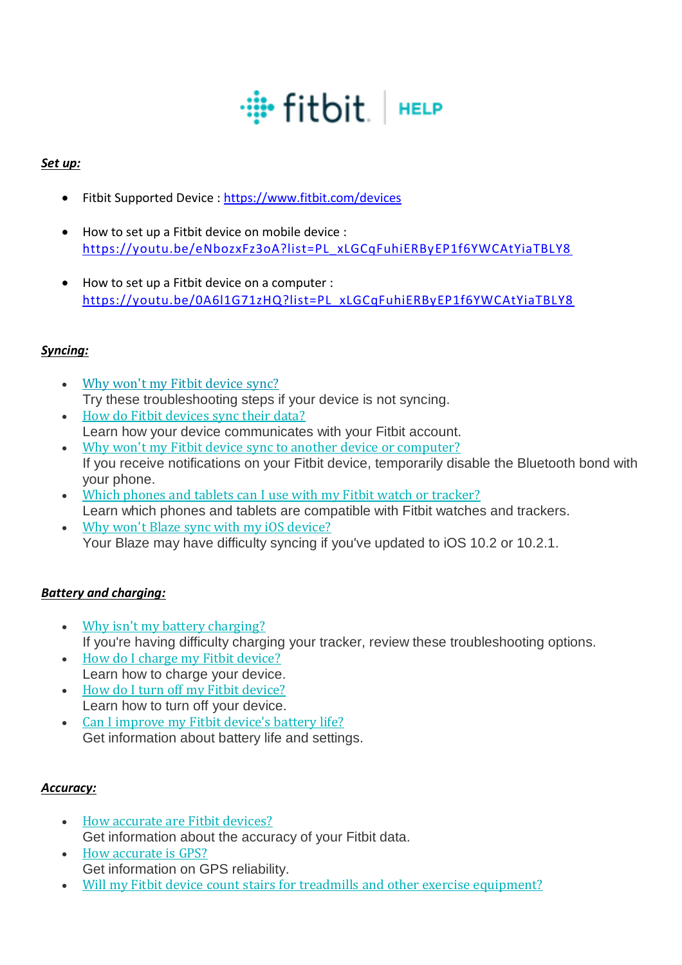# · # fitbit | нЕLP

## *Set up:*

- Fitbit Supported Device :<https://www.fitbit.com/devices>
- How to set up a Fitbit device on mobile device : [https://youtu.be/eNbozxFz3oA?list=PL\\_xLGCqFuhiERByEP1f6YWCAtYiaTBLY8](https://youtu.be/eNbozxFz3oA?list=PL_xLGCqFuhiERByEP1f6YWCAtYiaTBLY8)
- How to set up a Fitbit device on a computer : [https://youtu.be/0A6l1G71zHQ?list=PL\\_xLGCqFuhiERByEP1f6YWCAtYiaTBLY8](https://youtu.be/0A6l1G71zHQ?list=PL_xLGCqFuhiERByEP1f6YWCAtYiaTBLY8)

# *Syncing:*

- Why won't my Fitbit [device](https://help.fitbit.com/articles/en_US/Help_article/1866/?l=en_US&c=Topics%3ASyncing&fs=Search&pn=1) sync? Try these troubleshooting steps if your device is not syncing.
- How do Fitbit [devices](https://help.fitbit.com/articles/en_US/Help_article/1877/?l=en_US&c=Topics%3ASyncing&fs=Search&pn=1) sync their data? Learn how your device communicates with your Fitbit account.
- Why won't my Fitbit device sync to another device or [computer?](https://help.fitbit.com/articles/en_US/Help_article/1623/?l=en_US&c=Topics%3ASyncing&fs=Search&pn=1) If you receive notifications on your Fitbit device, temporarily disable the Bluetooth bond with your phone.
- Which phones and tablets can I use with my Fitbit watch or [tracker?](https://help.fitbit.com/articles/en_US/Help_article/2315/?l=en_US&c=Topics%3ASyncing&fs=Search&pn=1) Learn which phones and tablets are compatible with Fitbit watches and trackers.
- Why won't Blaze sync with my iOS [device?](https://help.fitbit.com/articles/en_US/Help_article/2144/?l=en_US&c=Topics%3ASyncing&fs=Search&pn=1) Your Blaze may have difficulty syncing if you've updated to iOS 10.2 or 10.2.1.

#### *Battery and charging:*

- Why isn't my battery [charging?](https://help.fitbit.com/articles/en_US/Help_article/1190/?l=en_US&c=Topics%3ABattery&fs=Search&pn=1) If you're having difficulty charging your tracker, review these troubleshooting options.
- How do I charge my Fitbit [device?](https://help.fitbit.com/articles/en_US/Help_article/1799/?l=en_US&c=Topics%3ABattery&fs=Search&pn=1) Learn how to charge your device.
- How do I turn off my Fitbit [device?](https://help.fitbit.com/articles/en_US/Help_article/1257/?l=en_US&c=Topics%3ABattery&fs=Search&pn=1) Learn how to turn off your device.
- Can I [improve](https://help.fitbit.com/articles/en_US/Help_article/2004/?l=en_US&c=Topics%3ABattery&fs=Search&pn=1) my Fitbit device's battery life? Get information about battery life and settings.

#### *Accuracy:*

- How [accurate](https://help.fitbit.com/articles/en_US/Help_article/1136/?l=en_US&c=Topics%3AAccuracy&fs=Search&pn=1) are Fitbit devices? Get information about the accuracy of your Fitbit data.
- How [accurate](https://help.fitbit.com/articles/en_US/Help_article/1807/?l=en_US&c=Topics%3AAccuracy&fs=Search&pn=1) is GPS? Get information on GPS reliability.
- Will my Fitbit device count stairs for treadmills and other exercise [equipment?](https://help.fitbit.com/articles/en_US/Help_article/1134/?l=en_US&c=Topics%3AAccuracy&fs=Search&pn=1)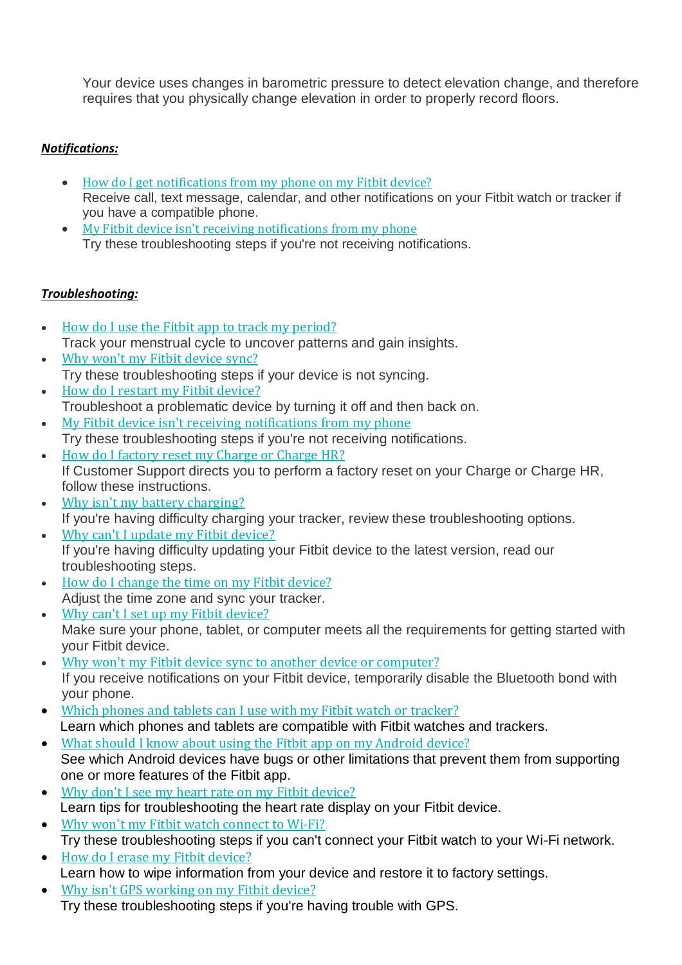Your device uses changes in barometric pressure to detect elevation change, and therefore requires that you physically change elevation in order to properly record floors.

## *Notifications:*

- How do I get [notifications](https://help.fitbit.com/articles/en_US/Help_article/1979/?q=notification&l=en_US&fs=Search&pn=1) from my phone on my Fitbit device? Receive call, text message, calendar, and other notifications on your Fitbit watch or tracker if you have a compatible phone.
- My Fitbit device isn't receiving [notifications](https://help.fitbit.com/articles/en_US/Help_article/1610/?q=notification&l=en_US&fs=Search&pn=1) from my phone Try these troubleshooting steps if you're not receiving notifications.

#### *Troubleshooting:*

- How do I use the Fitbit app to track my [period?](https://help.fitbit.com/articles/en_US/Help_article/2332/?l=en_US&c=Topics%3ATroubleshooting&fs=Search&pn=1) Track your menstrual cycle to uncover patterns and gain insights.
- Why won't my Fitbit [device](https://help.fitbit.com/articles/en_US/Help_article/1866/?l=en_US&c=Topics%3ATroubleshooting&fs=Search&pn=1) sync? Try these troubleshooting steps if your device is not syncing.
- How do I restart my Fitbit [device?](https://help.fitbit.com/articles/en_US/Help_article/1186/?l=en_US&c=Topics%3ATroubleshooting&fs=Search&pn=1) Troubleshoot a problematic device by turning it off and then back on.
- My Fitbit device isn't receiving [notifications](https://help.fitbit.com/articles/en_US/Help_article/1610/?l=en_US&c=Topics%3ATroubleshooting&fs=Search&pn=1) from my phone Try these troubleshooting steps if you're not receiving notifications.
- How do I [factory](https://help.fitbit.com/articles/en_US/Help_article/1606/?l=en_US&c=Topics%3ATroubleshooting&fs=Search&pn=1) reset my Charge or Charge HR? If Customer Support directs you to perform a factory reset on your Charge or Charge HR, follow these instructions.
- Why isn't my battery [charging?](https://help.fitbit.com/articles/en_US/Help_article/1190/?l=en_US&c=Topics%3ATroubleshooting&fs=Search&pn=1) If you're having difficulty charging your tracker, review these troubleshooting options.
- Why can't I update my Fitbit [device?](https://help.fitbit.com/articles/en_US/Help_article/2047/?l=en_US&c=Topics%3ATroubleshooting&fs=Search&pn=1) If you're having difficulty updating your Fitbit device to the latest version, read our troubleshooting steps.
- How do I change the time on my Fitbit [device?](https://help.fitbit.com/articles/en_US/Help_article/1176/?l=en_US&c=Topics%3ATroubleshooting&fs=Search&pn=1) Adjust the time zone and sync your tracker.
- Why can't I set up my Fitbit [device?](https://help.fitbit.com/articles/en_US/Help_article/1872/?l=en_US&c=Topics%3ATroubleshooting&fs=Search&pn=1) Make sure your phone, tablet, or computer meets all the requirements for getting started with your Fitbit device.
- Why won't my Fitbit device sync to another device or [computer?](https://help.fitbit.com/articles/en_US/Help_article/1623/?l=en_US&c=Topics%3ATroubleshooting&fs=Search&pn=1) If you receive notifications on your Fitbit device, temporarily disable the Bluetooth bond with your phone.
- Which phones and tablets can I use with my Fitbit watch or [tracker?](https://help.fitbit.com/articles/en_US/Help_article/2315/?l=en_US&c=Topics%3ATroubleshooting&fs=Search&pn=1) Learn which phones and tablets are compatible with Fitbit watches and trackers.
- What should I know about using the Fitbit app on my [Android](https://help.fitbit.com/articles/en_US/Help_article/1345/?l=en_US&c=Topics%3ATroubleshooting&fs=Search&pn=1) device? See which Android devices have bugs or other limitations that prevent them from supporting one or more features of the Fitbit app.
- Why don't I see my heart rate on my Fitbit [device?](https://help.fitbit.com/articles/en_US/Help_article/1582/?l=en_US&c=Topics%3ATroubleshooting&fs=Search&pn=1) Learn tips for troubleshooting the heart rate display on your Fitbit device.
- Why won't my Fitbit watch [connect](https://help.fitbit.com/articles/en_US/Help_article/2249/?l=en_US&c=Topics%3ATroubleshooting&fs=Search&pn=1) to Wi-Fi? Try these troubleshooting steps if you can't connect your Fitbit watch to your Wi-Fi network.
- How do I erase my Fitbit [device?](https://help.fitbit.com/articles/en_US/Help_article/2216/?l=en_US&c=Topics%3ATroubleshooting&fs=Search&pn=1) Learn how to wipe information from your device and restore it to factory settings.
- Why isn't GPS [working](https://help.fitbit.com/articles/en_US/Help_article/2036/?l=en_US&c=Topics%3ATroubleshooting&fs=Search&pn=1) on my Fitbit device? Try these troubleshooting steps if you're having trouble with GPS.